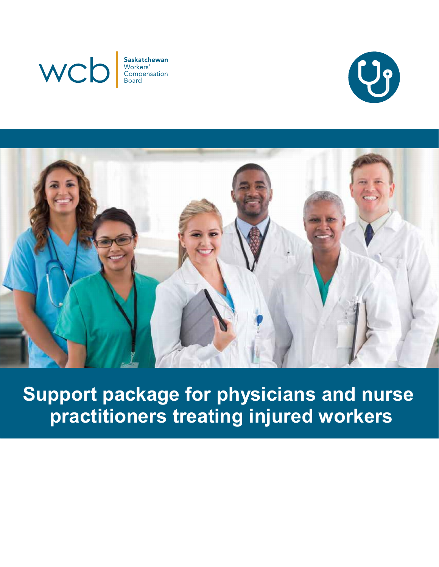





**Support package for physicians and nurse practitioners treating injured workers**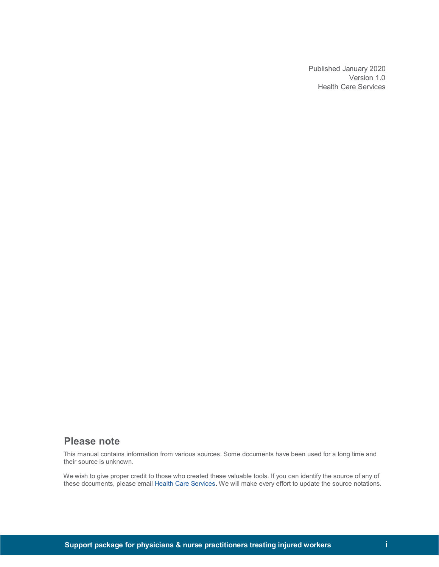Published January 2020 Version 1.0 Health Care Services

### **Please note**

This manual contains information from various sources. Some documents have been used for a long time and their source is unknown.

We wish to give proper credit to those who created these valuable tools. If you can identify the source of any of these documents, please email Health Care Services. We will make every effort to update the source notations.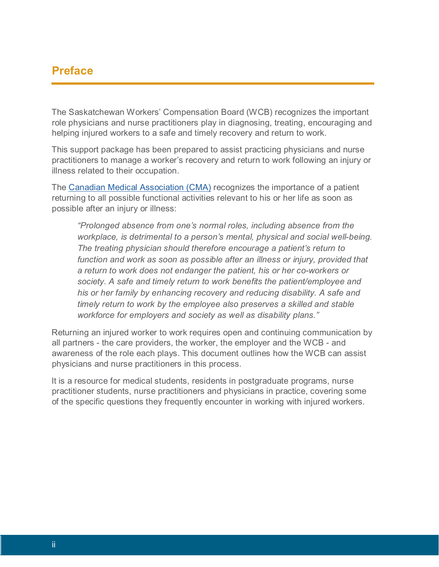## **Preface**

The Saskatchewan Workers' Compensation Board (WCB) recognizes the important role physicians and nurse practitioners play in diagnosing, treating, encouraging and helping injured workers to a safe and timely recovery and return to work.

This support package has been prepared to assist practicing physicians and nurse practitioners to manage a worker's recovery and return to work following an injury or illness related to their occupation.

The [Canadian Medical Association \(CMA\)](https://www.cma.ca/en/Pages/cma_default.aspx) recognizes the importance of a patient returning to all possible functional activities relevant to his or her life as soon as possible after an injury or illness:

*"Prolonged absence from one's normal roles, including absence from the workplace, is detrimental to a person's mental, physical and social well-being. The treating physician should therefore encourage a patient's return to* function and work as soon as possible after an illness or injury, provided that *a return to work does not endanger the patient, his or her co-workers or society. A safe and timely return to work benefits the patient/employee and his or her family by enhancing recovery and reducing disability. A safe and timely return to work by the employee also preserves a skilled and stable workforce for employers and society as well as disability plans."* 

Returning an injured worker to work requires open and continuing communication by all partners - the care providers, the worker, the employer and the WCB - and awareness of the role each plays. This document outlines how the WCB can assist physicians and nurse practitioners in this process.

It is a resource for medical students, residents in postgraduate programs, nurse practitioner students, nurse practitioners and physicians in practice, covering some of the specific questions they frequently encounter in working with injured workers.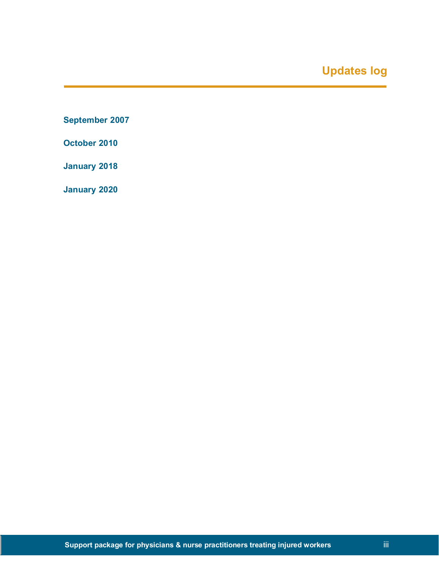# **Updates log**

**September 2007**

**October 2010**

**January 2018**

**January 2020**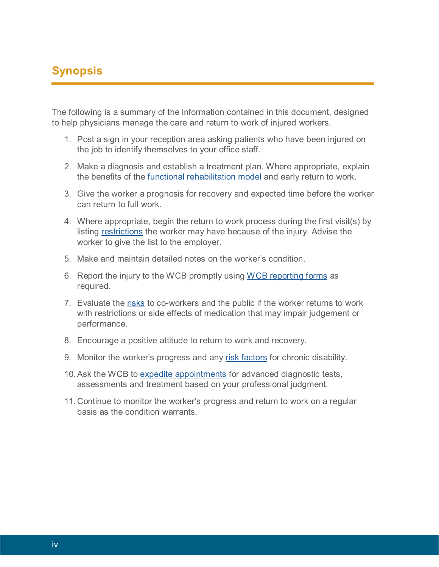# **Synopsis**

The following is a summary of the information contained in this document, designed to help physicians manage the care and return to work of injured workers.

- 1. Post a sign in your reception area asking patients who have been injured on the job to identify themselves to your office staff.
- 2. Make a diagnosis and establish a treatment plan. Where appropriate, explain the benefits of the *functional rehabilitation model* and early return to work.
- 3. Give the worker a prognosis for recovery and expected time before the worker can return to full work.
- 4. Where appropriate, begin the return to work process during the first visit(s) by listing restrictions the worker may have because of the injury. Advise the worker to give the list to the employer.
- 5. Make and maintain detailed notes on the worker's condition.
- 6. Report the injury to the WCB promptly using WCB reporting forms as required.
- 7. Evaluate the risks to co-workers and the public if the worker returns to work with restrictions or side effects of medication that may impair judgement or performance.
- 8. Encourage a positive attitude to return to work and recovery.
- 9. Monitor the worker's progress and any risk factors for chronic disability.
- 10. Ask the WCB to expedite appointments for advanced diagnostic tests, assessments and treatment based on your professional judgment.
- 11. Continue to monitor the worker's progress and return to work on a regular basis as the condition warrants.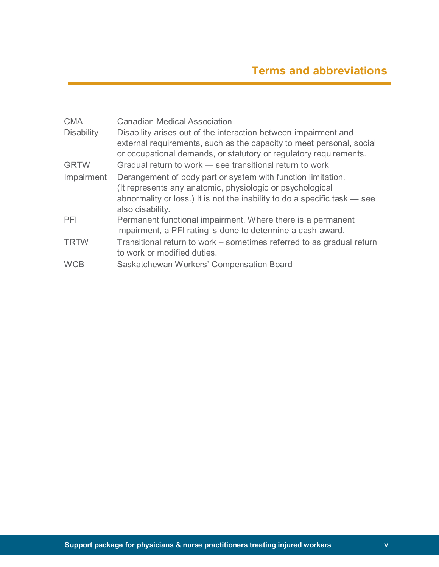| <b>CMA</b>        | <b>Canadian Medical Association</b>                                                                                                     |
|-------------------|-----------------------------------------------------------------------------------------------------------------------------------------|
| <b>Disability</b> | Disability arises out of the interaction between impairment and<br>external requirements, such as the capacity to meet personal, social |
|                   | or occupational demands, or statutory or regulatory requirements.                                                                       |
| <b>GRTW</b>       | Gradual return to work – see transitional return to work                                                                                |
| Impairment        | Derangement of body part or system with function limitation.<br>(It represents any anatomic, physiologic or psychological               |
|                   | abnormality or loss.) It is not the inability to do a specific task – see<br>also disability.                                           |
| PFI               | Permanent functional impairment. Where there is a permanent                                                                             |
|                   | impairment, a PFI rating is done to determine a cash award.                                                                             |
| <b>TRTW</b>       | Transitional return to work - sometimes referred to as gradual return<br>to work or modified duties.                                    |
| <b>WCB</b>        | Saskatchewan Workers' Compensation Board                                                                                                |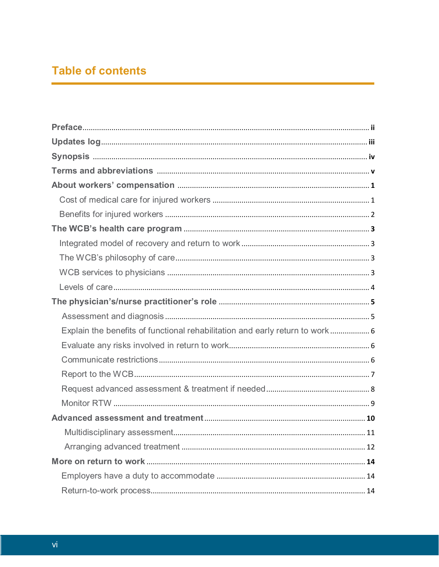# **Table of contents**

| Explain the benefits of functional rehabilitation and early return to work 6 |
|------------------------------------------------------------------------------|
|                                                                              |
|                                                                              |
|                                                                              |
|                                                                              |
|                                                                              |
|                                                                              |
|                                                                              |
|                                                                              |
|                                                                              |
|                                                                              |
|                                                                              |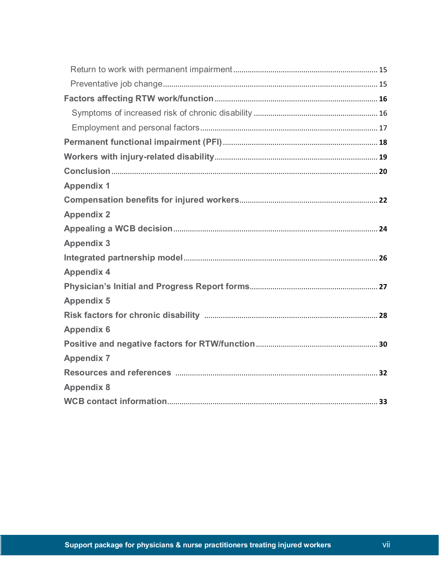| <b>Appendix 1</b> |
|-------------------|
|                   |
| <b>Appendix 2</b> |
|                   |
| <b>Appendix 3</b> |
|                   |
| <b>Appendix 4</b> |
|                   |
| <b>Appendix 5</b> |
|                   |
| <b>Appendix 6</b> |
|                   |
| <b>Appendix 7</b> |
|                   |
| <b>Appendix 8</b> |
|                   |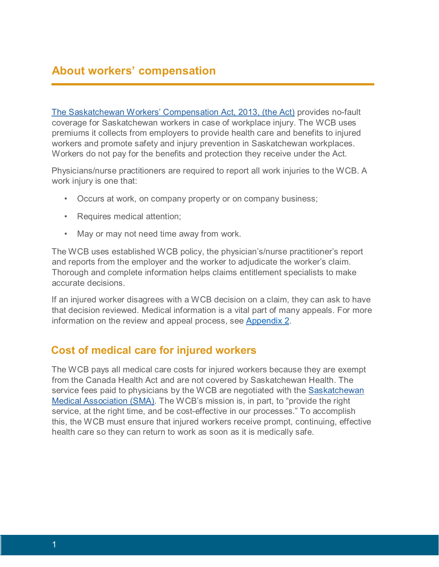# **About workers' compensation**

[The Saskatchewan Workers' Compensation Act, 2013, \(the Act\)](http://www.qp.gov.sk.ca/documents/english/statutes/statutes/w17-11.pdf) [p](http://www.qp.gov.sk.ca/documents/english/statutes/statutes/w17-11.pdf)rovides no-fault coverage for Saskatchewan workers in case of workplace injury. The WCB uses premiums it collects from employers to provide health care and benefits to injured workers and promote safety and injury prevention in Saskatchewan workplaces. Workers do not pay for the benefits and protection they receive under the Act.

Physicians/nurse practitioners are required to report all work injuries to the WCB. A work injury is one that:

- Occurs at work, on company property or on company business;
- Requires medical attention;
- May or may not need time away from work.

The WCB uses established WCB policy, the physician's/nurse practitioner's report and reports from the employer and the worker to adjudicate the worker's claim. Thorough and complete information helps claims entitlement specialists to make accurate decisions.

If an injured worker disagrees with a WCB decision on a claim, they can ask to have that decision reviewed. Medical information is a vital part of many appeals. For more information on the review and appeal process, see [Appendix 2.](#page-33-0)

## **Cost of medical care for injured workers**

The WCB pays all medical care costs for injured workers because they are exempt from the Canada Health Act and are not covered by Saskatchewan Health. The service fees paid to physicians by the WCB are negotiated with the [Saskatchewan](http://www.sma.sk.ca/)  [Medical Association \(SMA\).](http://www.sma.sk.ca/) The WCB's mission is, in part, to "provide the right service, at the right time, and be cost-effective in our processes." To accomplish this, the WCB must ensure that injured workers receive prompt, continuing, effective health care so they can return to work as soon as it is medically safe.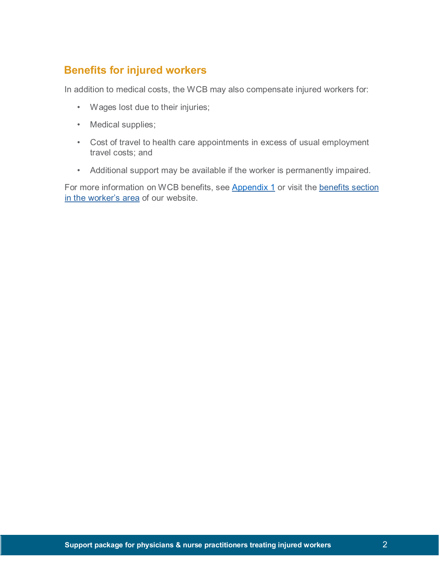# **Benefits for injured workers**

In addition to medical costs, the WCB may also compensate injured workers for:

- Wages lost due to their injuries;
- Medical supplies;
- Cost of travel to health care appointments in excess of usual employment travel costs; and
- Additional support may be available if the worker is permanently impaired.

For more information on WCB benefits, see [Appendix 1](#page-31-0) or visit the benefits section [in the worker's area](http://www.wcbsask.com/workers/benefits-for-injured-workers/) [o](http://www.wcbsask.com/workers/benefits-for-injured-workers/)f our website.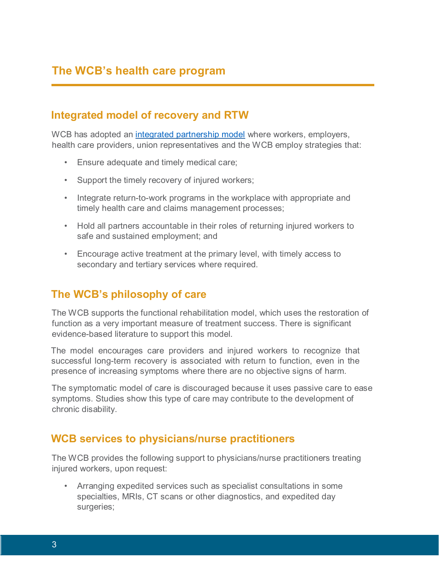## **Integrated model of recovery and RTW**

WCB has adopted an [integrated partnership model](#page-35-0) where workers, employers, health care providers, union representatives and the WCB employ strategies that:

- Ensure adequate and timely medical care;
- Support the timely recovery of injured workers;
- Integrate return-to-work programs in the workplace with appropriate and timely health care and claims management processes;
- Hold all partners accountable in their roles of returning injured workers to safe and sustained employment; and
- Encourage active treatment at the primary level, with timely access to secondary and tertiary services where required.

## **The WCB's philosophy of care**

The WCB supports the functional rehabilitation model, which uses the restoration of function as a very important measure of treatment success. There is significant evidence-based literature to support this model.

The model encourages care providers and injured workers to recognize that successful long-term recovery is associated with return to function, even in the presence of increasing symptoms where there are no objective signs of harm.

The symptomatic model of care is discouraged because it uses passive care to ease symptoms. Studies show this type of care may contribute to the development of chronic disability.

## **WCB services to physicians/nurse practitioners**

The WCB provides the following support to physicians/nurse practitioners treating injured workers, upon request:

• Arranging expedited services such as specialist consultations in some specialties, MRIs, CT scans or other diagnostics, and expedited day surgeries;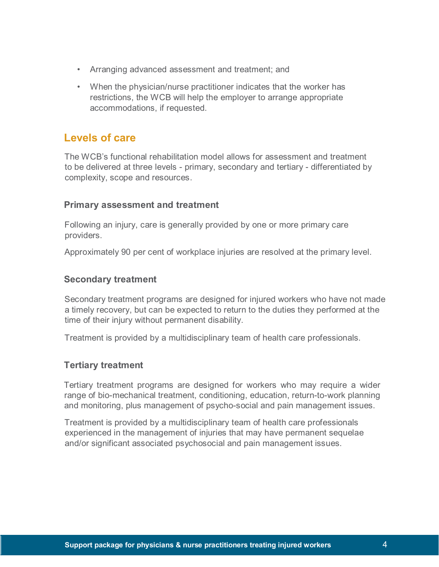- Arranging advanced assessment and treatment; and
- When the physician/nurse practitioner indicates that the worker has restrictions, the WCB will help the employer to arrange appropriate accommodations, if requested.

## **Levels of care**

The WCB's functional rehabilitation model allows for assessment and treatment to be delivered at three levels - primary, secondary and tertiary - differentiated by complexity, scope and resources.

### **Primary assessment and treatment**

Following an injury, care is generally provided by one or more primary care providers.

Approximately 90 per cent of workplace injuries are resolved at the primary level.

### **Secondary treatment**

Secondary treatment programs are designed for injured workers who have not made a timely recovery, but can be expected to return to the duties they performed at the time of their injury without permanent disability.

Treatment is provided by a multidisciplinary team of health care professionals.

### **Tertiary treatment**

Tertiary treatment programs are designed for workers who may require a wider range of bio-mechanical treatment, conditioning, education, return-to-work planning and monitoring, plus management of psycho-social and pain management issues.

Treatment is provided by a multidisciplinary team of health care professionals experienced in the management of injuries that may have permanent sequelae and/or significant associated psychosocial and pain management issues.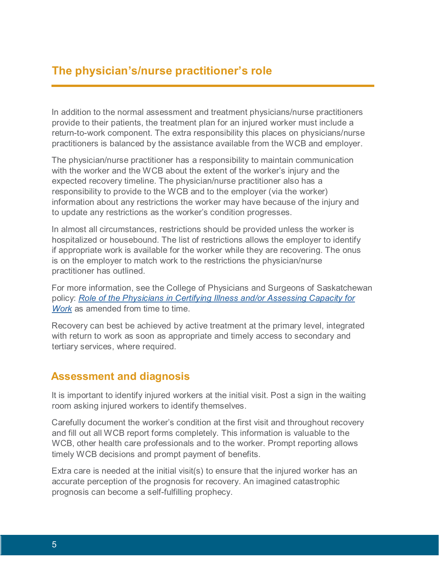# **The physician's/nurse practitioner's role**

In addition to the normal assessment and treatment physicians/nurse practitioners provide to their patients, the treatment plan for an injured worker must include a return-to-work component. The extra responsibility this places on physicians/nurse practitioners is balanced by the assistance available from the WCB and employer.

The physician/nurse practitioner has a responsibility to maintain communication with the worker and the WCB about the extent of the worker's injury and the expected recovery timeline. The physician/nurse practitioner also has a responsibility to provide to the WCB and to the employer (via the worker) information about any restrictions the worker may have because of the injury and to update any restrictions as the worker's condition progresses.

In almost all circumstances, restrictions should be provided unless the worker is hospitalized or housebound. The list of restrictions allows the employer to identify if appropriate work is available for the worker while they are recovering. The onus is on the employer to match work to the restrictions the physician/nurse practitioner has outlined.

For more information, see the College of Physicians and Surgeons of Saskatchewan policy: *Role of the [Physicians](http://www.cps.sk.ca/imis/Documents/Legislation/Policies/POLICY%20-%20Certifying%20Illness.pdf) in Certifying Illness and/or Assessing Capacity for [Work](http://www.cps.sk.ca/imis/Documents/Legislation/Policies/POLICY%20-%20Certifying%20Illness.pdf)* as amended from time to time.

Recovery can best be achieved by active treatment at the primary level, integrated with return to work as soon as appropriate and timely access to secondary and tertiary services, where required.

## **Assessment and diagnosis**

It is important to identify injured workers at the initial visit. Post a sign in the waiting room asking injured workers to identify themselves.

Carefully document the worker's condition at the first visit and throughout recovery and fill out all WCB report forms completely. This information is valuable to the WCB, other health care professionals and to the worker. Prompt reporting allows timely WCB decisions and prompt payment of benefits.

Extra care is needed at the initial visit(s) to ensure that the injured worker has an accurate perception of the prognosis for recovery. An imagined catastrophic prognosis can become a self-fulfilling prophecy.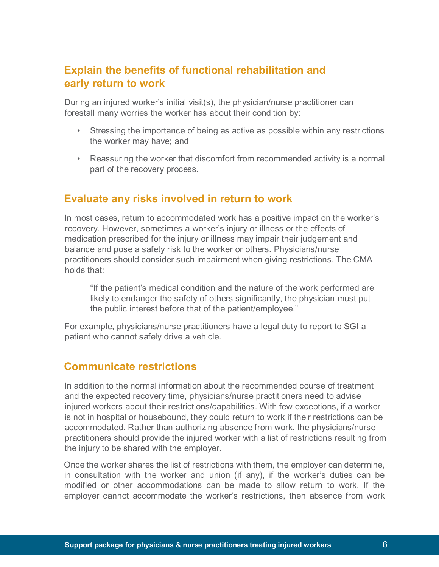## **Explain the benefits of functional rehabilitation and early return to work**

During an injured worker's initial visit(s), the physician/nurse practitioner can forestall many worries the worker has about their condition by:

- Stressing the importance of being as active as possible within any restrictions the worker may have; and
- Reassuring the worker that discomfort from recommended activity is a normal part of the recovery process.

## **Evaluate any risks involved in return to work**

In most cases, return to accommodated work has a positive impact on the worker's recovery. However, sometimes a worker's injury or illness or the effects of medication prescribed for the injury or illness may impair their judgement and balance and pose a safety risk to the worker or others. Physicians/nurse practitioners should consider such impairment when giving restrictions. The CMA holds that:

"If the patient's medical condition and the nature of the work performed are likely to endanger the safety of others significantly, the physician must put the public interest before that of the patient/employee."

For example, physicians/nurse practitioners have a legal duty to report to SGI a patient who cannot safely drive a vehicle.

## **Communicate restrictions**

In addition to the normal information about the recommended course of treatment and the expected recovery time, physicians/nurse practitioners need to advise injured workers about their restrictions/capabilities. With few exceptions, if a worker is not in hospital or housebound, they could return to work if their restrictions can be accommodated. Rather than authorizing absence from work, the physicians/nurse practitioners should provide the injured worker with a list of restrictions resulting from the injury to be shared with the employer.

Once the worker shares the list of restrictions with them, the employer can determine, in consultation with the worker and union (if any), if the worker's duties can be modified or other accommodations can be made to allow return to work. If the employer cannot accommodate the worker's restrictions, then absence from work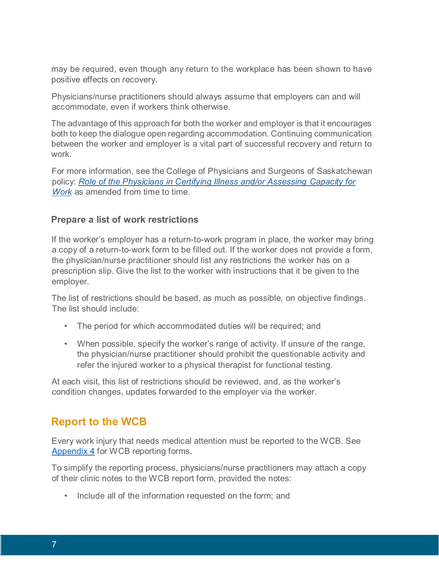may be required, even though any return to the workplace has been shown to have positive effects on recovery.

Physicians/nurse practitioners should always assume that employers can and will accommodate, even if workers think otherwise.

The advantage of this approach for both the worker and employer is that it encourages both to keep the dialogue open regarding accommodation. Continuing communication between the worker and employer is a vital part of successful recovery and return to work.

For more information, see the College of Physicians and Surgeons of Saskatchewan policy: *Role of the [Physicians](http://www.cps.sk.ca/imis/Documents/Legislation/Policies/POLICY%20-%20Certifying%20Illness.pdf) in Certifying Illness and/or Assessing Capacity for [Work](http://www.cps.sk.ca/imis/Documents/Legislation/Policies/POLICY%20-%20Certifying%20Illness.pdf)* as amended from time to time.

### **Prepare a list of work restrictions**

If the worker's employer has a return-to-work program in place, the worker may bring a copy of a return-to-work form to be filled out. If the worker does not provide a form, the physician/nurse practitioner should list any restrictions the worker has on a prescription slip. Give the list to the worker with instructions that it be given to the employer.

The list of restrictions should be based, as much as possible, on objective findings. The list should include:

- The period for which accommodated duties will be required; and
- When possible, specify the worker's range of activity. If unsure of the range, the physician/nurse practitioner should prohibit the questionable activity and refer the injured worker to a physical therapist for functional testing.

At each visit, this list of restrictions should be reviewed, and, as the worker's condition changes, updates forwarded to the employer via the worker.

## **Report to the WCB**

Every work injury that needs medical attention must be reported to the WCB. See [Appendix 4](#page-36-0) for WCB reporting forms.

To simplify the reporting process, physicians/nurse practitioners may attach a copy of their clinic notes to the WCB report form, provided the notes:

• Include all of the information requested on the form; and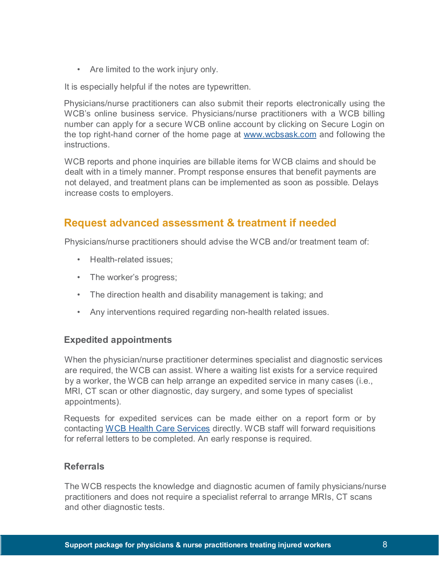• Are limited to the work injury only.

It is especially helpful if the notes are typewritten.

Physicians/nurse practitioners can also submit their reports electronically using the WCB's online business service. Physicians/nurse practitioners with a WCB billing number can apply for a secure WCB online account by clicking on Secure Login on the top right-hand corner of the home page at [www.wcbsask.com](http://www.wcbsask.com/) [a](http://www.wcbsask.com/)nd following the instructions.

WCB reports and phone inquiries are billable items for WCB claims and should be dealt with in a timely manner. Prompt response ensures that benefit payments are not delayed, and treatment plans can be implemented as soon as possible. Delays increase costs to employers.

## **Request advanced assessment & treatment if needed**

Physicians/nurse practitioners should advise the WCB and/or treatment team of:

- Health-related issues;
- The worker's progress;
- The direction health and disability management is taking; and
- Any interventions required regarding non-health related issues.

### **Expedited appointments**

When the physician/nurse practitioner determines specialist and diagnostic services are required, the WCB can assist. Where a waiting list exists for a service required by a worker, the WCB can help arrange an expedited service in many cases (i.e., MRI, CT scan or other diagnostic, day surgery, and some types of specialist appointments).

Requests for expedited services can be made either on a report form or by contacting WCB Health Care Services directly. WCB staff will forward requisitions for referral letters to be completed. An early response is required.

### **Referrals**

The WCB respects the knowledge and diagnostic acumen of family physicians/nurse practitioners and does not require a specialist referral to arrange MRIs, CT scans and other diagnostic tests.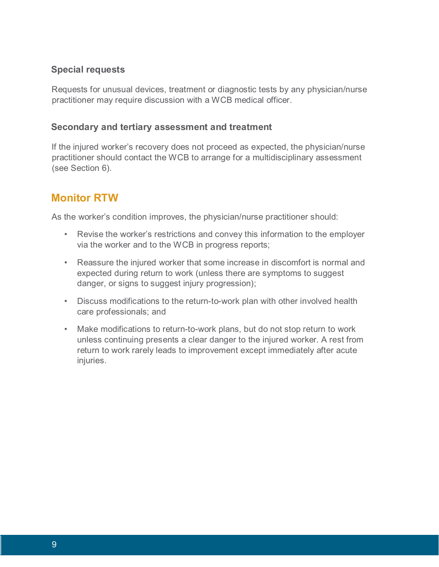### **Special requests**

Requests for unusual devices, treatment or diagnostic tests by any physician/nurse practitioner may require discussion with a WCB medical officer.

### **Secondary and tertiary assessment and treatment**

If the injured worker's recovery does not proceed as expected, the physician/nurse practitioner should contact the WCB to arrange for a multidisciplinary assessment (see Section 6).

## **Monitor RTW**

As the worker's condition improves, the physician/nurse practitioner should:

- Revise the worker's restrictions and convey this information to the employer via the worker and to the WCB in progress reports;
- Reassure the injured worker that some increase in discomfort is normal and expected during return to work (unless there are symptoms to suggest danger, or signs to suggest injury progression);
- Discuss modifications to the return-to-work plan with other involved health care professionals; and
- Make modifications to return-to-work plans, but do not stop return to work unless continuing presents a clear danger to the injured worker. A rest from return to work rarely leads to improvement except immediately after acute injuries.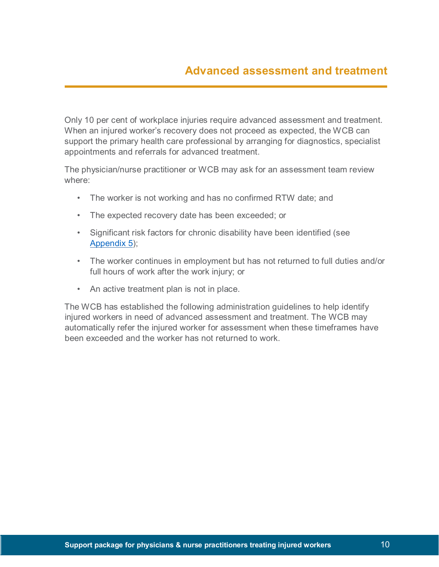Only 10 per cent of workplace injuries require advanced assessment and treatment. When an injured worker's recovery does not proceed as expected, the WCB can support the primary health care professional by arranging for diagnostics, specialist appointments and referrals for advanced treatment.

The physician/nurse practitioner or WCB may ask for an assessment team review where:

- The worker is not working and has no confirmed RTW date; and
- The expected recovery date has been exceeded; or
- Significant risk factors for chronic disability have been identified (see [Appendix](#page-37-0) 5);
- The worker continues in employment but has not returned to full duties and/or full hours of work after the work injury; or
- An active treatment plan is not in place.

The WCB has established the following administration guidelines to help identify injured workers in need of advanced assessment and treatment. The WCB may automatically refer the injured worker for assessment when these timeframes have been exceeded and the worker has not returned to work.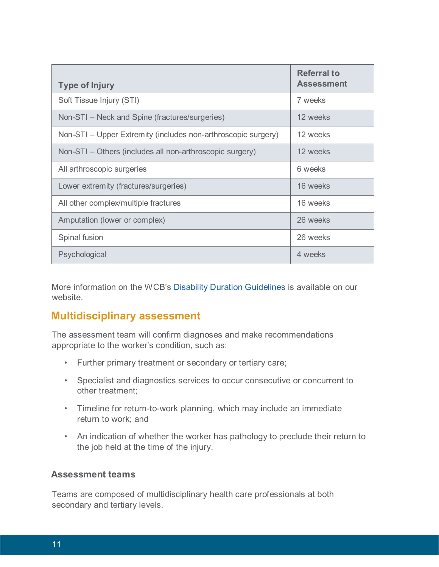| <b>Type of Injury</b>                                         | <b>Referral to</b><br><b>Assessment</b> |
|---------------------------------------------------------------|-----------------------------------------|
| Soft Tissue Injury (STI)                                      | 7 weeks                                 |
| Non-STI - Neck and Spine (fractures/surgeries)                | 12 weeks                                |
| Non-STI – Upper Extremity (includes non-arthroscopic surgery) | 12 weeks                                |
| Non-STI – Others (includes all non-arthroscopic surgery)      | 12 weeks                                |
| All arthroscopic surgeries                                    | 6 weeks                                 |
| Lower extremity (fractures/surgeries)                         | 16 weeks                                |
| All other complex/multiple fractures                          | 16 weeks                                |
| Amputation (lower or complex)                                 | 26 weeks                                |
| Spinal fusion                                                 | 26 weeks                                |
| Psychological                                                 | 4 weeks                                 |

More information on the WCB's [Disability Duration Guidelines](https://www.wcbsask.com/wp-content/uploads/2013/09/11.17.2015.-Disability-Duration-Guidelines.pdf) [i](https://www.wcbsask.com/wp-content/uploads/2013/09/11.17.2015.-Disability-Duration-Guidelines.pdf)s available on our website.

## **Multidisciplinary assessment**

The assessment team will confirm diagnoses and make recommendations appropriate to the worker's condition, such as:

- Further primary treatment or secondary or tertiary care;
- Specialist and diagnostics services to occur consecutive or concurrent to other treatment;
- Timeline for return-to-work planning, which may include an immediate return to work; and
- An indication of whether the worker has pathology to preclude their return to the job held at the time of the injury.

### **Assessment teams**

Teams are composed of multidisciplinary health care professionals at both secondary and tertiary levels.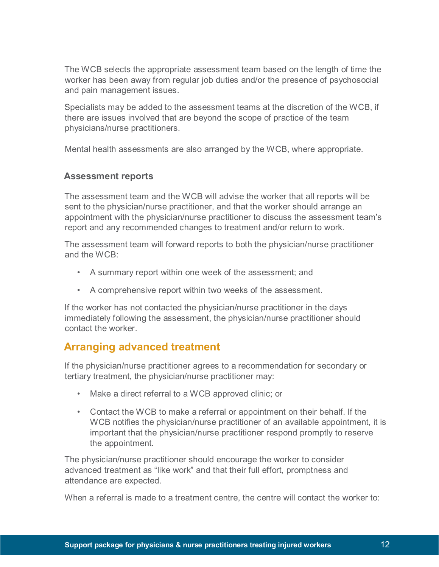The WCB selects the appropriate assessment team based on the length of time the worker has been away from regular job duties and/or the presence of psychosocial and pain management issues.

Specialists may be added to the assessment teams at the discretion of the WCB, if there are issues involved that are beyond the scope of practice of the team physicians/nurse practitioners.

Mental health assessments are also arranged by the WCB, where appropriate.

### **Assessment reports**

The assessment team and the WCB will advise the worker that all reports will be sent to the physician/nurse practitioner, and that the worker should arrange an appointment with the physician/nurse practitioner to discuss the assessment team's report and any recommended changes to treatment and/or return to work.

The assessment team will forward reports to both the physician/nurse practitioner and the WCB:

- A summary report within one week of the assessment; and
- A comprehensive report within two weeks of the assessment.

If the worker has not contacted the physician/nurse practitioner in the days immediately following the assessment, the physician/nurse practitioner should contact the worker.

## **Arranging advanced treatment**

If the physician/nurse practitioner agrees to a recommendation for secondary or tertiary treatment, the physician/nurse practitioner may:

- Make a direct referral to a WCB approved clinic; or
- Contact the WCB to make a referral or appointment on their behalf. If the WCB notifies the physician/nurse practitioner of an available appointment, it is important that the physician/nurse practitioner respond promptly to reserve the appointment.

The physician/nurse practitioner should encourage the worker to consider advanced treatment as "like work" and that their full effort, promptness and attendance are expected.

When a referral is made to a treatment centre, the centre will contact the worker to: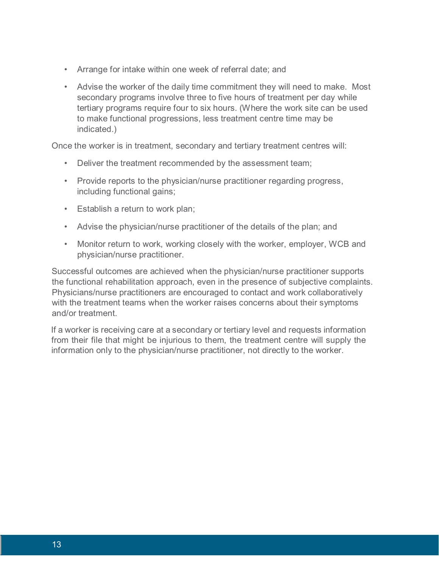- Arrange for intake within one week of referral date; and
- Advise the worker of the daily time commitment they will need to make. Most secondary programs involve three to five hours of treatment per day while tertiary programs require four to six hours. (Where the work site can be used to make functional progressions, less treatment centre time may be indicated.)

Once the worker is in treatment, secondary and tertiary treatment centres will:

- Deliver the treatment recommended by the assessment team;
- Provide reports to the physician/nurse practitioner regarding progress, including functional gains;
- Establish a return to work plan;
- Advise the physician/nurse practitioner of the details of the plan; and
- Monitor return to work, working closely with the worker, employer, WCB and physician/nurse practitioner.

Successful outcomes are achieved when the physician/nurse practitioner supports the functional rehabilitation approach, even in the presence of subjective complaints. Physicians/nurse practitioners are encouraged to contact and work collaboratively with the treatment teams when the worker raises concerns about their symptoms and/or treatment.

If a worker is receiving care at a secondary or tertiary level and requests information from their file that might be injurious to them, the treatment centre will supply the information only to the physician/nurse practitioner, not directly to the worker.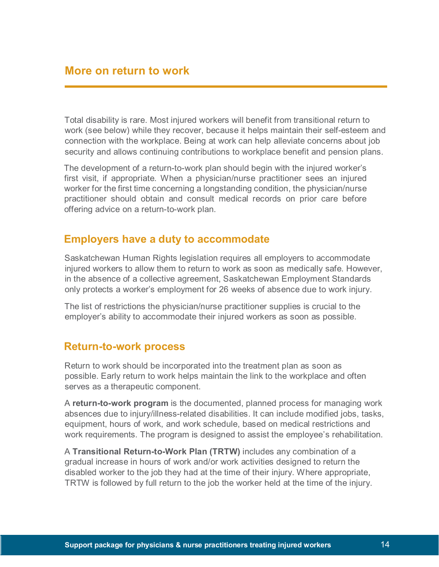## **More on return to work**

Total disability is rare. Most injured workers will benefit from transitional return to work (see below) while they recover, because it helps maintain their self-esteem and connection with the workplace. Being at work can help alleviate concerns about job security and allows continuing contributions to workplace benefit and pension plans.

The development of a return-to-work plan should begin with the injured worker's first visit, if appropriate. When a physician/nurse practitioner sees an injured worker for the first time concerning a longstanding condition, the physician/nurse practitioner should obtain and consult medical records on prior care before offering advice on a return-to-work plan.

## **Employers have a duty to accommodate**

Saskatchewan Human Rights legislation requires all employers to accommodate injured workers to allow them to return to work as soon as medically safe. However, in the absence of a collective agreement, Saskatchewan Employment Standards only protects a worker's employment for 26 weeks of absence due to work injury.

The list of restrictions the physician/nurse practitioner supplies is crucial to the employer's ability to accommodate their injured workers as soon as possible.

### **Return-to-work process**

Return to work should be incorporated into the treatment plan as soon as possible. Early return to work helps maintain the link to the workplace and often serves as a therapeutic component.

A **return-to-work program** is the documented, planned process for managing work absences due to injury/illness-related disabilities. It can include modified jobs, tasks, equipment, hours of work, and work schedule, based on medical restrictions and work requirements. The program is designed to assist the employee's rehabilitation.

A **Transitional Return-to-Work Plan (TRTW)** includes any combination of a gradual increase in hours of work and/or work activities designed to return the disabled worker to the job they had at the time of their injury. Where appropriate, TRTW is followed by full return to the job the worker held at the time of the injury.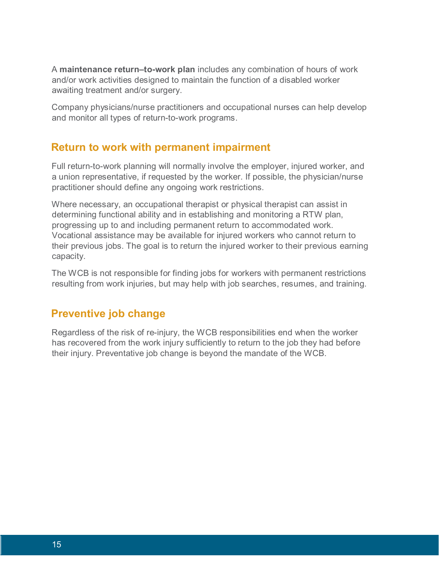A **maintenance return–to-work plan** includes any combination of hours of work and/or work activities designed to maintain the function of a disabled worker awaiting treatment and/or surgery.

Company physicians/nurse practitioners and occupational nurses can help develop and monitor all types of return-to-work programs.

## **Return to work with permanent impairment**

Full return-to-work planning will normally involve the employer, injured worker, and a union representative, if requested by the worker. If possible, the physician/nurse practitioner should define any ongoing work restrictions.

Where necessary, an occupational therapist or physical therapist can assist in determining functional ability and in establishing and monitoring a RTW plan, progressing up to and including permanent return to accommodated work. Vocational assistance may be available for injured workers who cannot return to their previous jobs. The goal is to return the injured worker to their previous earning capacity.

The WCB is not responsible for finding jobs for workers with permanent restrictions resulting from work injuries, but may help with job searches, resumes, and training.

## **Preventive job change**

Regardless of the risk of re-injury, the WCB responsibilities end when the worker has recovered from the work injury sufficiently to return to the job they had before their injury. Preventative job change is beyond the mandate of the WCB.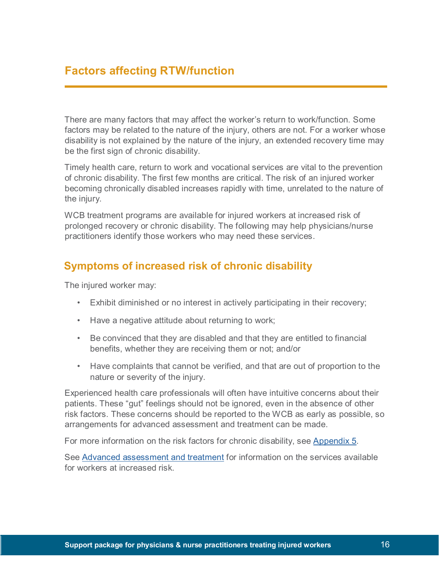# **Factors affecting RTW/function**

There are many factors that may affect the worker's return to work/function. Some factors may be related to the nature of the injury, others are not. For a worker whose disability is not explained by the nature of the injury, an extended recovery time may be the first sign of chronic disability.

Timely health care, return to work and vocational services are vital to the prevention of chronic disability. The first few months are critical. The risk of an injured worker becoming chronically disabled increases rapidly with time, unrelated to the nature of the injury.

WCB treatment programs are available for injured workers at increased risk of prolonged recovery or chronic disability. The following may help physicians/nurse practitioners identify those workers who may need these services.

## **Symptoms of increased risk of chronic disability**

The injured worker may:

- Exhibit diminished or no interest in actively participating in their recovery;
- Have a negative attitude about returning to work;
- Be convinced that they are disabled and that they are entitled to financial benefits, whether they are receiving them or not; and/or
- Have complaints that cannot be verified, and that are out of proportion to the nature or severity of the injury.

Experienced health care professionals will often have intuitive concerns about their patients. These "gut" feelings should not be ignored, even in the absence of other risk factors. These concerns should be reported to the WCB as early as possible, so arrangements for advanced assessment and treatment can be made.

For more information on the risk factors for chronic disability, see Appendix 5.

See Advanced assessment and treatment for information on the services available for workers at increased risk.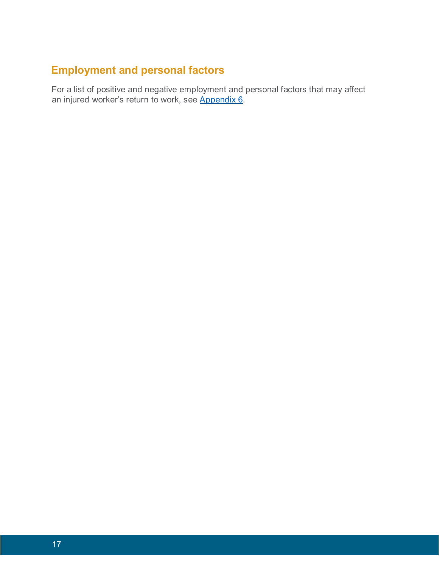# **Employment and personal factors**

For a list of positive and negative employment and personal factors that may affect an injured worker's return to work, see <u>Appendix 6</u>.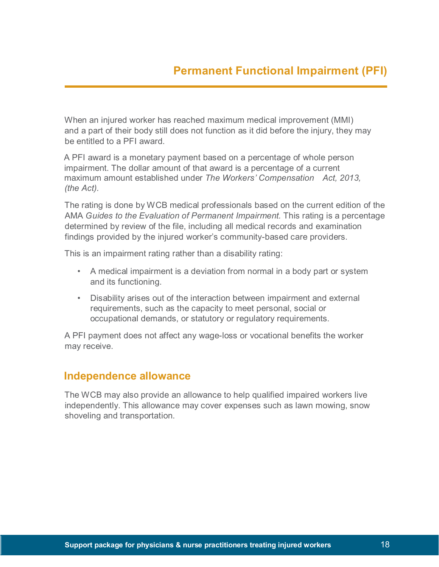When an injured worker has reached maximum medical improvement (MMI) and a part of their body still does not function as it did before the injury, they may be entitled to a PFI award.

A PFI award is a monetary payment based on a percentage of whole person impairment. The dollar amount of that award is a percentage of a current maximum amount established under *The Workers' Compensation Act, 2013, (the Act).*

The rating is done by WCB medical professionals based on the current edition of the AMA *Guides to the Evaluation of Permanent Impairment.* This rating is a percentage determined by review of the file, including all medical records and examination findings provided by the injured worker's community-based care providers.

This is an impairment rating rather than a disability rating:

- A medical impairment is a deviation from normal in a body part or system and its functioning.
- Disability arises out of the interaction between impairment and external requirements, such as the capacity to meet personal, social or occupational demands, or statutory or regulatory requirements.

A PFI payment does not affect any wage-loss or vocational benefits the worker may receive.

## **Independence allowance**

The WCB may also provide an allowance to help qualified impaired workers live independently. This allowance may cover expenses such as lawn mowing, snow shoveling and transportation.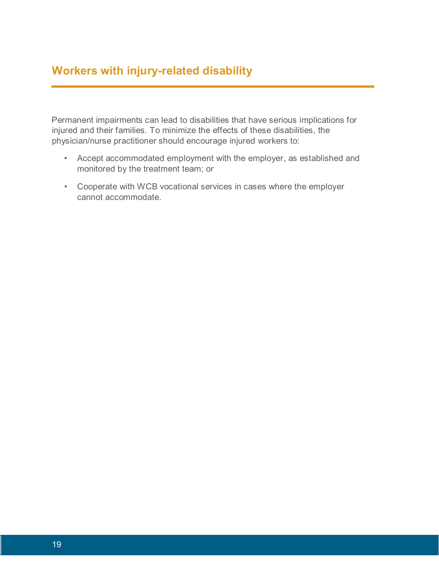# **Workers with injury-related disability**

Permanent impairments can lead to disabilities that have serious implications for injured and their families. To minimize the effects of these disabilities, the physician/nurse practitioner should encourage injured workers to:

- Accept accommodated employment with the employer, as established and monitored by the treatment team; or
- Cooperate with WCB vocational services in cases where the employer cannot accommodate.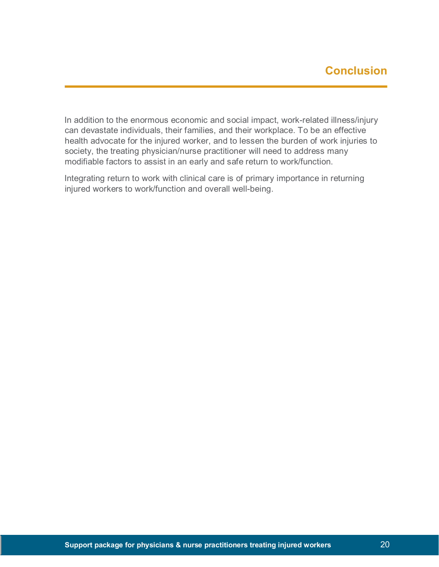In addition to the enormous economic and social impact, work-related illness/injury can devastate individuals, their families, and their workplace. To be an effective health advocate for the injured worker, and to lessen the burden of work injuries to society, the treating physician/nurse practitioner will need to address many modifiable factors to assist in an early and safe return to work/function.

Integrating return to work with clinical care is of primary importance in returning injured workers to work/function and overall well-being.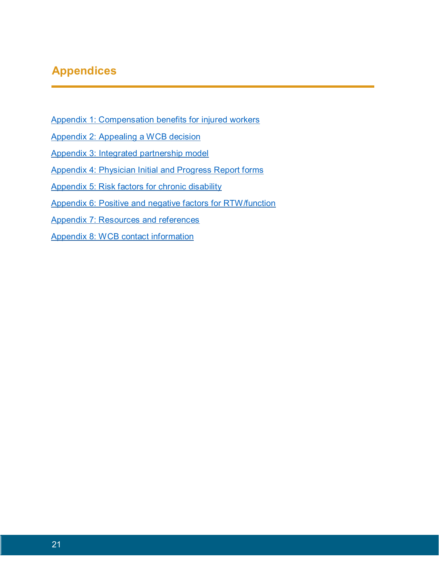# **Appendices**

- [Appendix 1: Compensation benefits for injured workers](#page-31-0)
- [Appendix 2: Appealing a WCB decision](#page-33-0)
- [Appendix 3: Integrated partnership model](#page-35-0)
- [Appendix 4: Physician Initial and Progress Report forms](#page-36-0)
- [Appendix 5: Risk factors for chronic disability](#page-37-0)
- [Appendix 6: Positive and negative factors for RTW/function](#page-39-0)
- [Appendix 7: Resources and references](#page-40-0)
- [Appendix 8: WCB contact information](#page-42-0)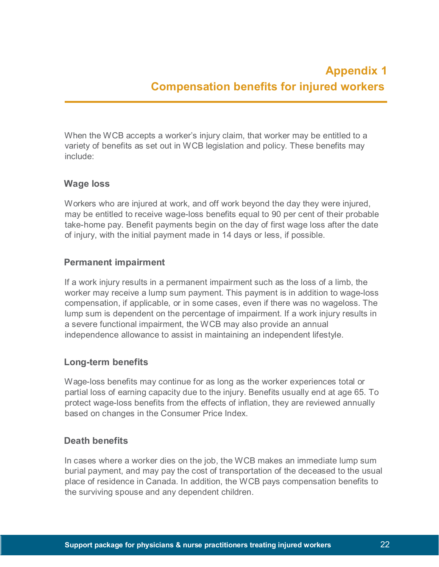<span id="page-31-0"></span>When the WCB accepts a worker's injury claim, that worker may be entitled to a variety of benefits as set out in WCB legislation and policy. These benefits may include:

### **Wage loss**

Workers who are injured at work, and off work beyond the day they were injured, may be entitled to receive wage-loss benefits equal to 90 per cent of their probable take-home pay. Benefit payments begin on the day of first wage loss after the date of injury, with the initial payment made in 14 days or less, if possible.

### **Permanent impairment**

If a work injury results in a permanent impairment such as the loss of a limb, the worker may receive a lump sum payment. This payment is in addition to wage-loss compensation, if applicable, or in some cases, even if there was no wageloss. The lump sum is dependent on the percentage of impairment. If a work injury results in a severe functional impairment, the WCB may also provide an annual independence allowance to assist in maintaining an independent lifestyle.

### **Long-term benefits**

Wage-loss benefits may continue for as long as the worker experiences total or partial loss of earning capacity due to the injury. Benefits usually end at age 65. To protect wage-loss benefits from the effects of inflation, they are reviewed annually based on changes in the Consumer Price Index.

### **Death benefits**

In cases where a worker dies on the job, the WCB makes an immediate lump sum burial payment, and may pay the cost of transportation of the deceased to the usual place of residence in Canada. In addition, the WCB pays compensation benefits to the surviving spouse and any dependent children.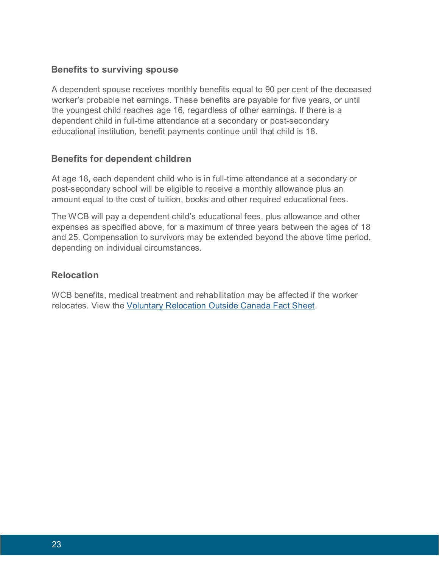### **Benefits to surviving spouse**

A dependent spouse receives monthly benefits equal to 90 per cent of the deceased worker's probable net earnings. These benefits are payable for five years, or until the youngest child reaches age 16, regardless of other earnings. If there is a dependent child in full-time attendance at a secondary or post-secondary educational institution, benefit payments continue until that child is 18.

### **Benefits for dependent children**

At age 18, each dependent child who is in full-time attendance at a secondary or post-secondary school will be eligible to receive a monthly allowance plus an amount equal to the cost of tuition, books and other required educational fees.

The WCB will pay a dependent child's educational fees, plus allowance and other expenses as specified above, for a maximum of three years between the ages of 18 and 25. Compensation to survivors may be extended beyond the above time period, depending on individual circumstances.

### **Relocation**

WCB benefits, medical treatment and rehabilitation may be affected if the worker relocates. View the [Voluntary Relocation Outside Canada Fact Sheet.](http://www.wcbsask.com/wp-content/uploads/2013/11/07.09.15.Voluntary-Relocation-Outside-Canada.pdf)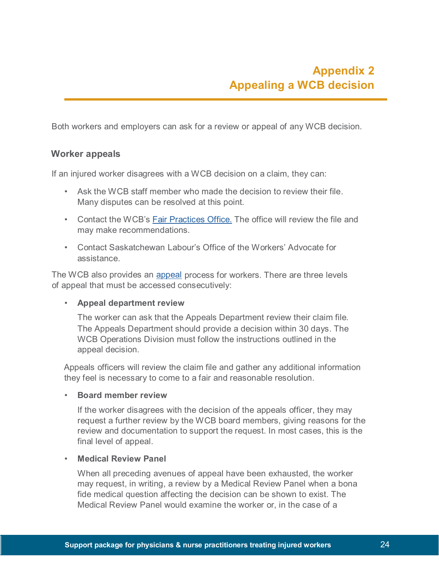<span id="page-33-0"></span>Both workers and employers can ask for a review or appeal of any WCB decision.

### **Worker appeals**

If an injured worker disagrees with a WCB decision on a claim, they can:

- Ask the WCB staff member who made the decision to review their file. Many disputes can be resolved at this point.
- Contact the WCB's [Fair Practices Office.](http://www.wcbsask.com/about-wcb/who-we-are/fair-practices-office/) The office will review the file and may make recommendations.
- Contact Saskatchewan Labour's Office of the Workers' Advocate for assistance.

The WCB also provides an [appeal](http://www.wcbsask.com/workers/worker-appeals/) [p](http://www.wcbsask.com/workers/worker-appeals/)rocess for workers. There are three levels of appeal that must be accessed consecutively:

### • **Appeal department review**

The worker can ask that the Appeals Department review their claim file. The Appeals Department should provide a decision within 30 days. The WCB Operations Division must follow the instructions outlined in the appeal decision.

Appeals officers will review the claim file and gather any additional information they feel is necessary to come to a fair and reasonable resolution.

#### • **Board member review**

If the worker disagrees with the decision of the appeals officer, they may request a further review by the WCB board members, giving reasons for the review and documentation to support the request. In most cases, this is the final level of appeal.

#### • **Medical Review Panel**

When all preceding avenues of appeal have been exhausted, the worker may request, in writing, a review by a Medical Review Panel when a bona fide medical question affecting the decision can be shown to exist. The Medical Review Panel would examine the worker or, in the case of a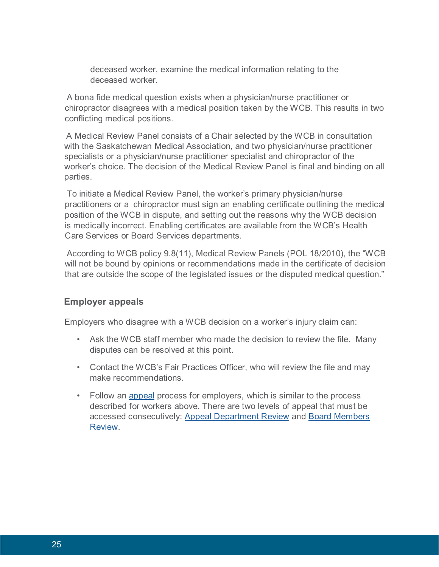deceased worker, examine the medical information relating to the deceased worker.

A bona fide medical question exists when a physician/nurse practitioner or chiropractor disagrees with a medical position taken by the WCB. This results in two conflicting medical positions.

A Medical Review Panel consists of a Chair selected by the WCB in consultation with the Saskatchewan Medical Association, and two physician/nurse practitioner specialists or a physician/nurse practitioner specialist and chiropractor of the worker's choice. The decision of the Medical Review Panel is final and binding on all parties.

To initiate a Medical Review Panel, the worker's primary physician/nurse practitioners or a chiropractor must sign an enabling certificate outlining the medical position of the WCB in dispute, and setting out the reasons why the WCB decision is medically incorrect. Enabling certificates are available from the WCB's Health Care Services or Board Services departments.

According to WCB policy 9.8(11), Medical Review Panels (POL 18/2010), the "WCB will not be bound by opinions or recommendations made in the certificate of decision that are outside the scope of the legislated issues or the disputed medical question."

### **Employer appeals**

Employers who disagree with a WCB decision on a worker's injury claim can:

- Ask the WCB staff member who made the decision to review the file. Many disputes can be resolved at this point.
- Contact the WCB's Fair Practices Officer, who will review the file and may make recommendations.
- Follow an [appeal](http://www.wcbsask.com/employers/employer-appeals/) process for employers, which is similar to the process described for workers above. There are two levels of appeal that must be accessed consecutively: [Appeal Department Review](http://www.wcbsask.com/employers/employer-appeals/) and [Board Members](http://www.wcbsask.com/employers/employer-appeals/)  [Review.](http://www.wcbsask.com/employers/employer-appeals/)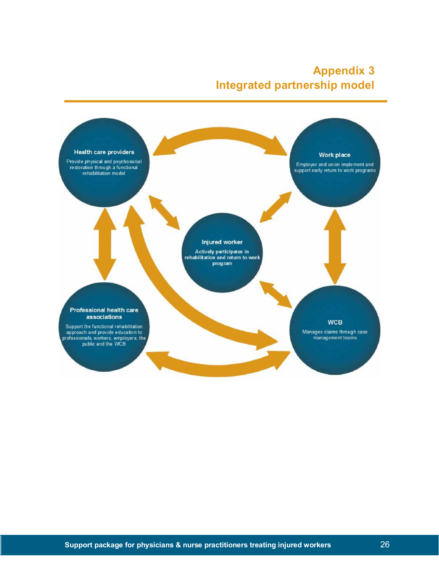# **Appendix 3 Integrated partnership model**

<span id="page-35-0"></span>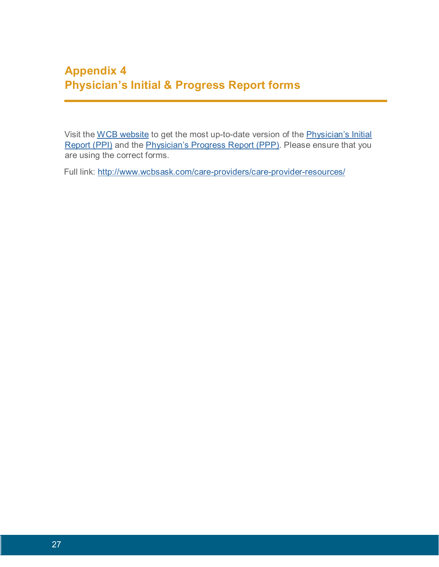<span id="page-36-0"></span>Visit the [WCB website](http://www.wcbsask.com/) to get the most up-to-date version of the [Physician's Initial](http://www.wcbsask.com/wp-content/uploads/2013/11/PPI-Form.pdf)  [Report \(PPI\)](http://www.wcbsask.com/wp-content/uploads/2013/11/PPI-Form.pdf) and the *Physician's Progress Report (PPP)*. Please ensure that you are using the correct forms.

Full link:<http://www.wcbsask.com/care-providers/care-provider-resources/>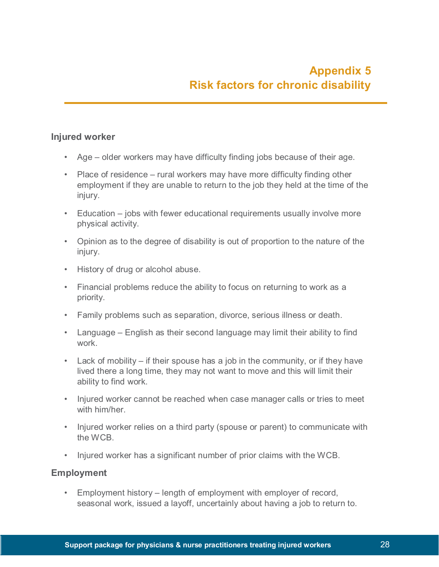### <span id="page-37-0"></span>**Injured worker**

- Age older workers may have difficulty finding jobs because of their age.
- Place of residence rural workers may have more difficulty finding other employment if they are unable to return to the job they held at the time of the injury.
- Education jobs with fewer educational requirements usually involve more physical activity.
- Opinion as to the degree of disability is out of proportion to the nature of the injury.
- History of drug or alcohol abuse.
- Financial problems reduce the ability to focus on returning to work as a priority.
- Family problems such as separation, divorce, serious illness or death.
- Language English as their second language may limit their ability to find work.
- Lack of mobility if their spouse has a job in the community, or if they have lived there a long time, they may not want to move and this will limit their ability to find work.
- Injured worker cannot be reached when case manager calls or tries to meet with him/her
- Injured worker relies on a third party (spouse or parent) to communicate with the WCB.
- Injured worker has a significant number of prior claims with the WCB.

### **Employment**

• Employment history – length of employment with employer of record, seasonal work, issued a layoff, uncertainly about having a job to return to.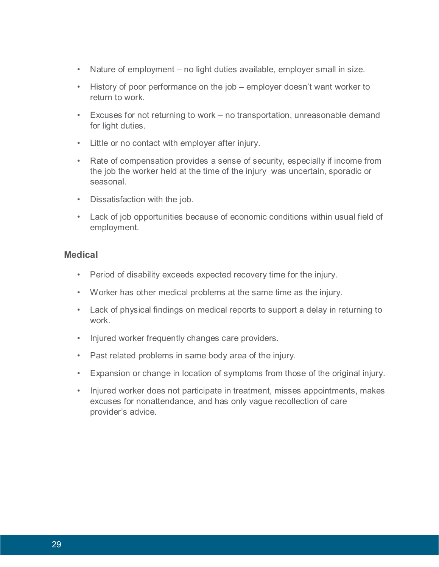- Nature of employment no light duties available, employer small in size.
- History of poor performance on the job employer doesn't want worker to return to work.
- Excuses for not returning to work no transportation, unreasonable demand for light duties.
- Little or no contact with employer after injury.
- Rate of compensation provides a sense of security, especially if income from the job the worker held at the time of the injury was uncertain, sporadic or seasonal.
- Dissatisfaction with the job.
- Lack of job opportunities because of economic conditions within usual field of employment.

### **Medical**

- Period of disability exceeds expected recovery time for the injury.
- Worker has other medical problems at the same time as the injury.
- Lack of physical findings on medical reports to support a delay in returning to work.
- Injured worker frequently changes care providers.
- Past related problems in same body area of the injury.
- Expansion or change in location of symptoms from those of the original injury.
- Injured worker does not participate in treatment, misses appointments, makes excuses for nonattendance, and has only vague recollection of care provider's advice.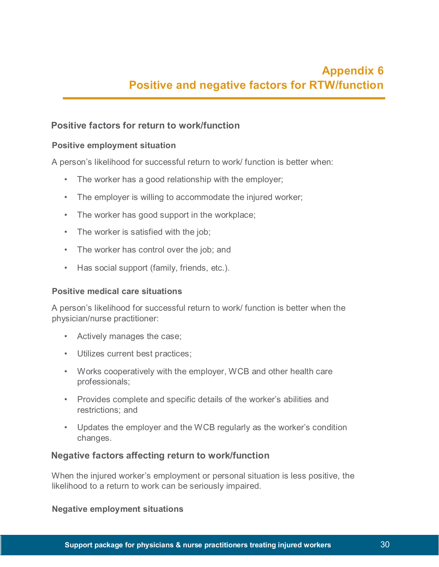### <span id="page-39-0"></span>**Positive factors for return to work/function**

### **Positive employment situation**

A person's likelihood for successful return to work/ function is better when:

- The worker has a good relationship with the employer;
- The employer is willing to accommodate the injured worker;
- The worker has good support in the workplace;
- The worker is satisfied with the job;
- The worker has control over the job; and
- Has social support (family, friends, etc.).

### **Positive medical care situations**

A person's likelihood for successful return to work/ function is better when the physician/nurse practitioner:

- Actively manages the case;
- Utilizes current best practices;
- Works cooperatively with the employer, WCB and other health care professionals;
- Provides complete and specific details of the worker's abilities and restrictions; and
- Updates the employer and the WCB regularly as the worker's condition changes.

### **Negative factors affecting return to work/function**

When the injured worker's employment or personal situation is less positive, the likelihood to a return to work can be seriously impaired.

### **Negative employment situations**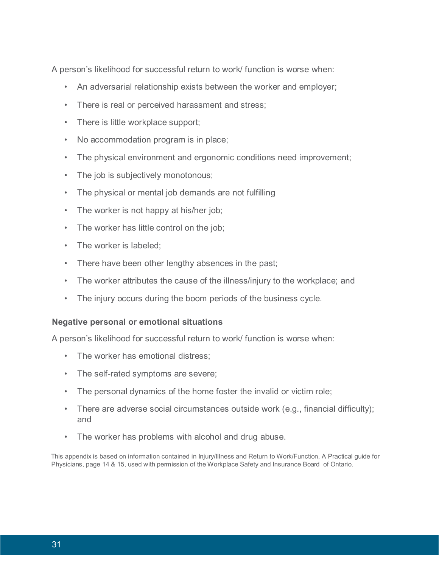A person's likelihood for successful return to work/ function is worse when:

- An adversarial relationship exists between the worker and employer;
- There is real or perceived harassment and stress;
- There is little workplace support;
- No accommodation program is in place;
- The physical environment and ergonomic conditions need improvement;
- The job is subjectively monotonous;
- The physical or mental job demands are not fulfilling
- The worker is not happy at his/her job;
- The worker has little control on the job;
- The worker is labeled;
- There have been other lengthy absences in the past;
- The worker attributes the cause of the illness/injury to the workplace; and
- The injury occurs during the boom periods of the business cycle.

### **Negative personal or emotional situations**

A person's likelihood for successful return to work/ function is worse when:

- The worker has emotional distress;
- The self-rated symptoms are severe;
- The personal dynamics of the home foster the invalid or victim role;
- There are adverse social circumstances outside work (e.g., financial difficulty); and
- The worker has problems with alcohol and drug abuse.

<span id="page-40-0"></span>This appendix is based on information contained in Injury/Illness and Return to Work/Function, A Practical guide for Physicians, page 14 & 15, used with permission of the Workplace Safety and Insurance Board of Ontario.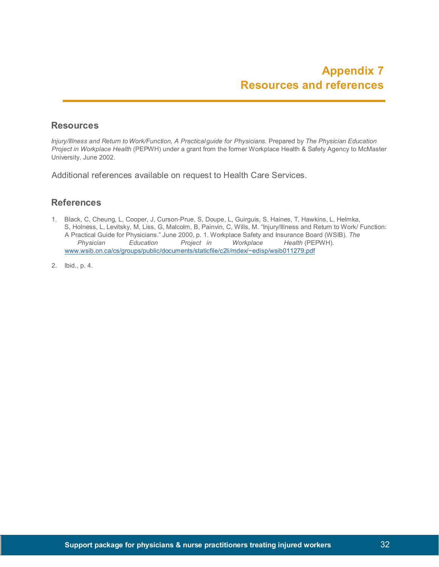### **Resources**

*Injury/Illness and Return to Work/Function, A Practicalguide for Physicians.* Prepared by *The Physician Education Project in Workplace Health* (PEPWH) under a grant from the former Workplace Health & Safety Agency to McMaster University, June 2002.

Additional references available on request to Health Care Services.

### **References**

- 1. Black, C, Cheung, L, Cooper, J, Curson-Prue, S, Doupe, L, Guirguis, S, Haines, T, Hawkins, L, Helmka, S, Holness, L, Levitsky, M, Liss, G, Malcolm, B, Painvin, C, Wills, M. "Injury/Illness and Return to Work/ Function: A Practical Guide for Physicians." June 2000, p. 1. Workplace Safety and Insurance Board (WSIB). *The Physician Education Project in Workplace Health* (PEPWH). [www.wsib.on.ca/cs/groups/public/documents/staticfile/c2li/mdex/~edisp/wsib011279.pdf](http://www.wsib.on.ca/cs/groups/public/documents/staticfile/c2li/mdex/%7Eedisp/wsib011279.pdf)
- 2. Ibid., p. 4.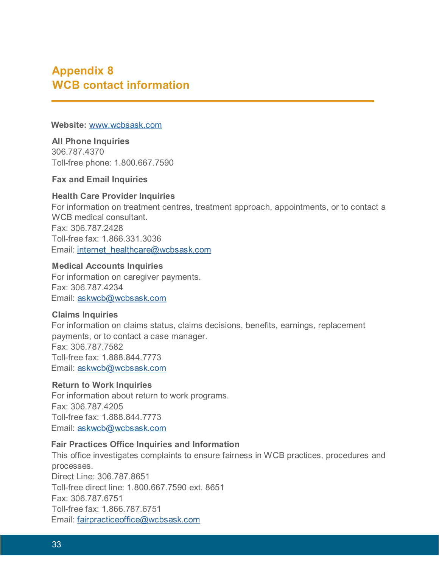# <span id="page-42-0"></span>**Appendix 8 WCB contact information**

#### **Website:** [www.wcbsask.com](http://www.wcbsask.com/)

**All Phone Inquiries** 306.787.4370 Toll-free phone: 1.800.667.7590

**Fax and Email Inquiries**

### **Health Care Provider Inquiries**

For information on treatment centres, treatment approach, appointments, or to contact a WCB medical consultant. Fax: 306.787.2428 Toll-free fax: 1.866.331.3036 Email: internet\_healthcare@wcbsask.com

### **Medical Accounts Inquiries**

For information on caregiver payments. Fax: 306.787.4234 Email: askwcb@wcbsask.com

### **Claims Inquiries**

For information on claims status, claims decisions, benefits, earnings, replacement payments, or to contact a case manager. Fax: 306.787.7582 Toll-free fax: 1.888.844.7773 Email: askwcb@wcbsask.com

### **Return to Work Inquiries**

For information about return to work programs. Fax: 306.787.4205 Toll-free fax: 1.888.844.7773 Email: askwcb@wcbsask.com

### **Fair Practices Office Inquiries and Information**

This office investigates complaints to ensure fairness in WCB practices, procedures and processes. Direct Line: 306.787.8651 Toll-free direct line: 1.800.667.7590 ext. 8651 Fax: 306.787.6751 Toll-free fax: 1.866.787.6751 Email: fairpracticeoffice@wcbsask.com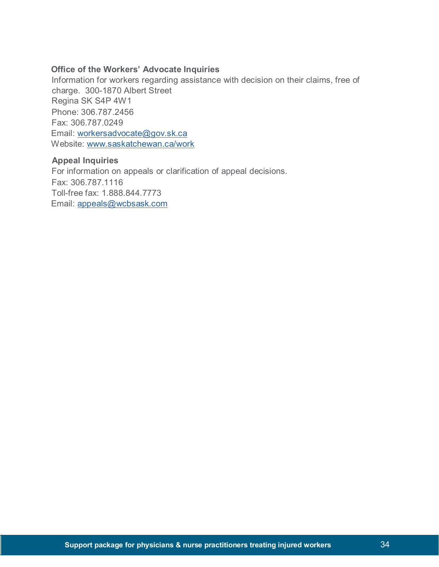### **Office of the Workers' Advocate Inquiries**

Information for workers regarding assistance with decision on their claims, free of charge. 300-1870 Albert Street Regina SK S4P 4W1 Phone: 306.787.2456 Fax: 306.787.0249 Email: workersadvocate@gov.sk.ca Website: [www.saskatchewan.ca/work](http://www.saskatchewan.ca/work)

#### **Appeal Inquiries**

For information on appeals or clarification of appeal decisions. Fax: 306.787.1116 Toll-free fax: 1.888.844.7773 Email: appeals@wcbsask.com